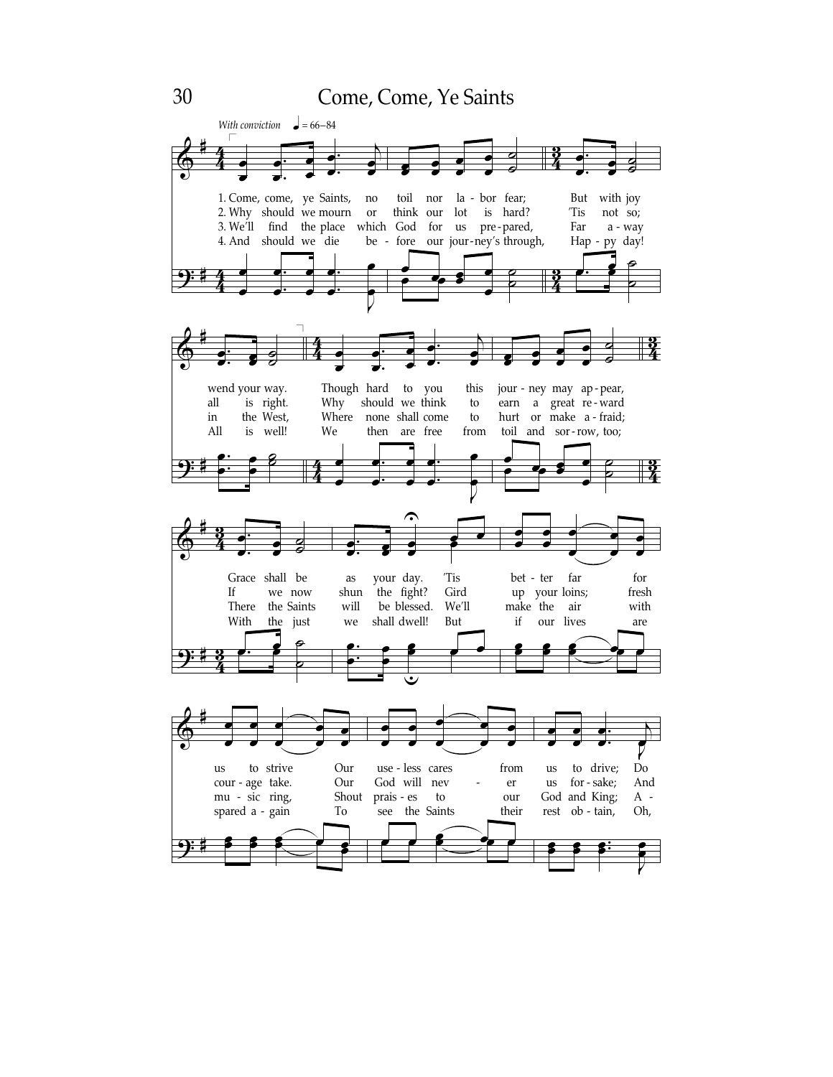